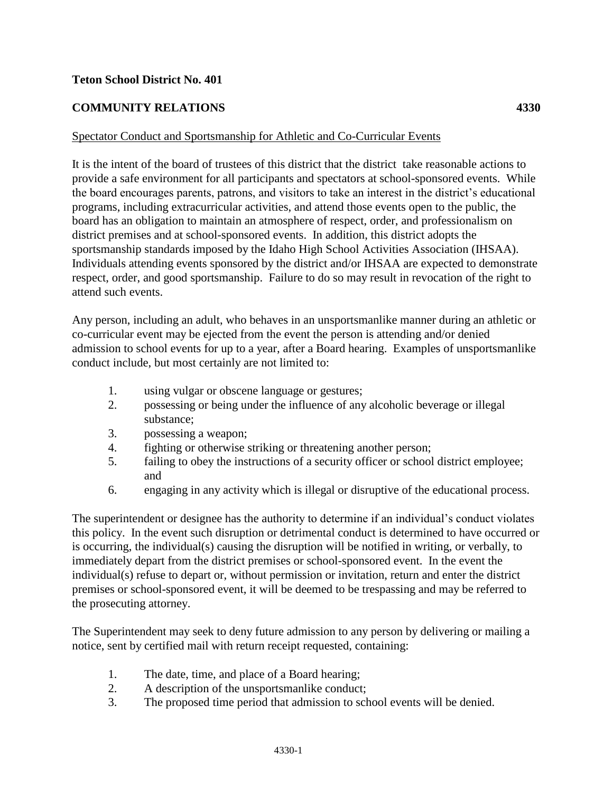## **Teton School District No. 401**

## **COMMUNITY RELATIONS 4330**

## Spectator Conduct and Sportsmanship for Athletic and Co-Curricular Events

It is the intent of the board of trustees of this district that the district take reasonable actions to provide a safe environment for all participants and spectators at school-sponsored events. While the board encourages parents, patrons, and visitors to take an interest in the district's educational programs, including extracurricular activities, and attend those events open to the public, the board has an obligation to maintain an atmosphere of respect, order, and professionalism on district premises and at school-sponsored events. In addition, this district adopts the sportsmanship standards imposed by the Idaho High School Activities Association (IHSAA). Individuals attending events sponsored by the district and/or IHSAA are expected to demonstrate respect, order, and good sportsmanship. Failure to do so may result in revocation of the right to attend such events.

Any person, including an adult, who behaves in an unsportsmanlike manner during an athletic or co-curricular event may be ejected from the event the person is attending and/or denied admission to school events for up to a year, after a Board hearing. Examples of unsportsmanlike conduct include, but most certainly are not limited to:

- 1. using vulgar or obscene language or gestures;
- 2. possessing or being under the influence of any alcoholic beverage or illegal substance;
- 3. possessing a weapon;
- 4. fighting or otherwise striking or threatening another person;
- 5. failing to obey the instructions of a security officer or school district employee; and
- 6. engaging in any activity which is illegal or disruptive of the educational process.

The superintendent or designee has the authority to determine if an individual's conduct violates this policy. In the event such disruption or detrimental conduct is determined to have occurred or is occurring, the individual(s) causing the disruption will be notified in writing, or verbally, to immediately depart from the district premises or school-sponsored event. In the event the individual(s) refuse to depart or, without permission or invitation, return and enter the district premises or school-sponsored event, it will be deemed to be trespassing and may be referred to the prosecuting attorney.

The Superintendent may seek to deny future admission to any person by delivering or mailing a notice, sent by certified mail with return receipt requested, containing:

- 1. The date, time, and place of a Board hearing;
- 2. A description of the unsportsmanlike conduct;
- 3. The proposed time period that admission to school events will be denied.